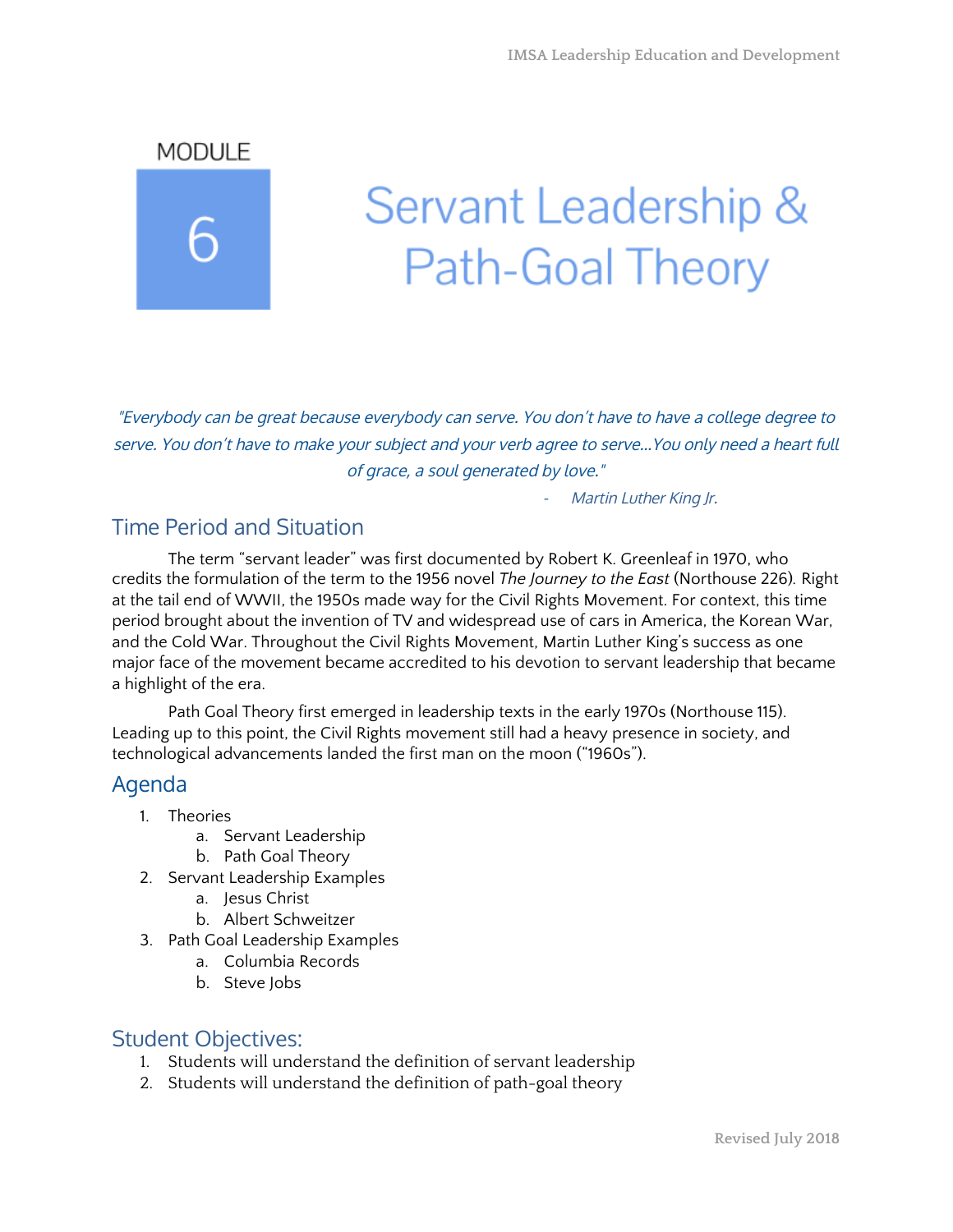MODULE

# Servant Leadership & **Path-Goal Theory**

"Everybody can be great because everybody can serve. You don't have to have a college degree to serve. You don't have to make your subject and your verb agree to serve…You only need a heart full of grace, a soul generated by love."

Martin Luther King Jr.

## Time Period and Situation

The term "servant leader" was first documented by Robert K. Greenleaf in 1970, who credits the formulation of the term to the 1956 novel *The Journey to the East* (Northouse 226)*.* Right at the tail end of WWII, the 1950s made way for the Civil Rights Movement. For context, this time period brought about the invention of TV and widespread use of cars in America, the Korean War, and the Cold War. Throughout the Civil Rights Movement, Martin Luther King's success as one major face of the movement became accredited to his devotion to servant leadership that became a highlight of the era.

Path Goal Theory first emerged in leadership texts in the early 1970s (Northouse 115). Leading up to this point, the Civil Rights movement still had a heavy presence in society, and technological advancements landed the first man on the moon ("1960s").

#### Agenda

- 1. Theories
	- a. Servant Leadership
	- b. Path Goal Theory
- 2. Servant Leadership Examples
	- a. Jesus Christ
	- b. Albert Schweitzer
- 3. Path Goal Leadership Examples
	- a. Columbia Records
	- b. Steve Jobs

#### Student Objectives:

- 1. Students will understand the definition of servant leadership
- 2. Students will understand the definition of path-goal theory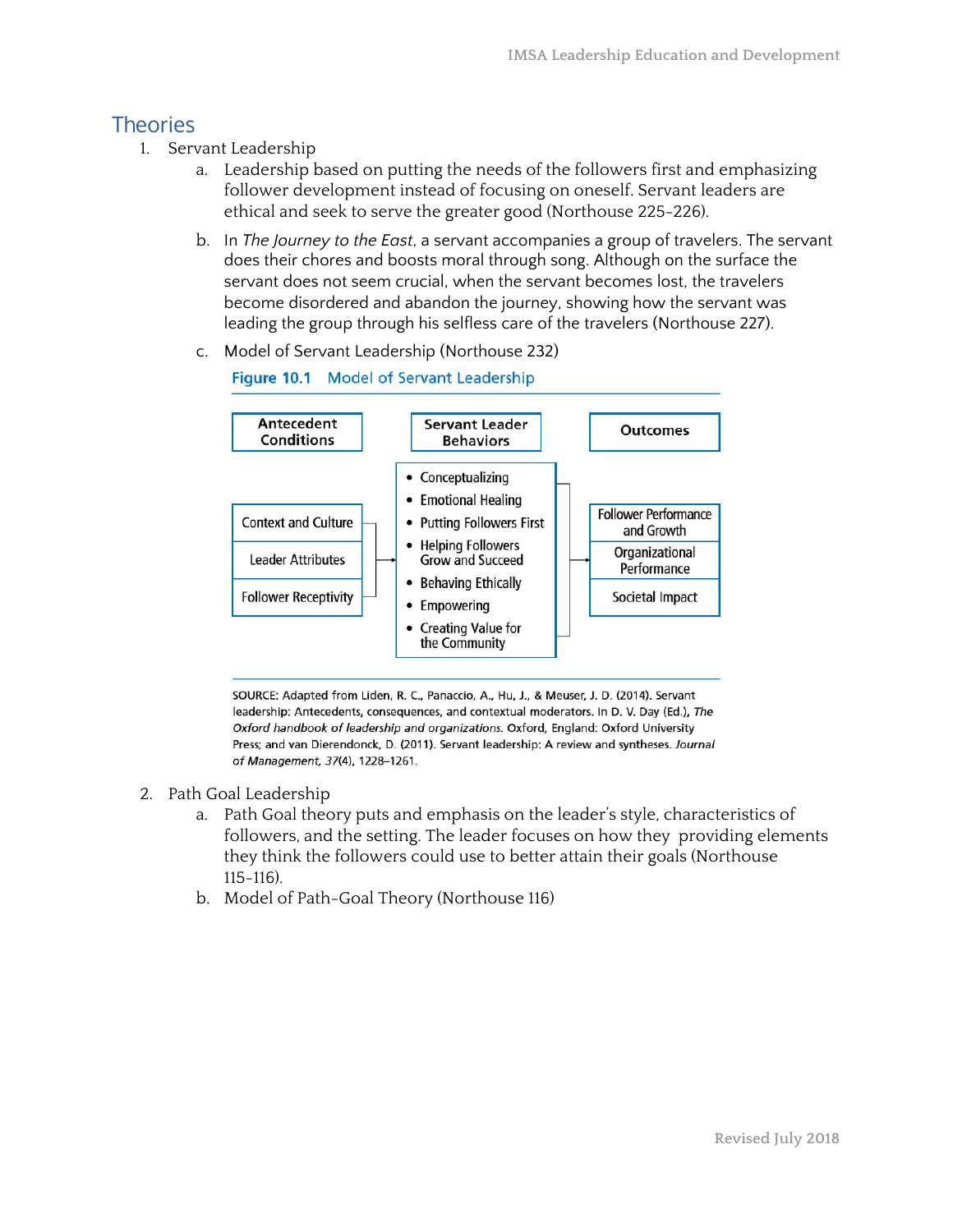## **Theories**

- 1. Servant Leadership
	- a. Leadership based on putting the needs of the followers first and emphasizing follower development instead of focusing on oneself. Servant leaders are ethical and seek to serve the greater good (Northouse 225-226).
	- b. In *The Journey to the East*, a servant accompanies a group of travelers. The servant does their chores and boosts moral through song. Although on the surface the servant does not seem crucial, when the servant becomes lost, the travelers become disordered and abandon the journey, showing how the servant was leading the group through his selfless care of the travelers (Northouse 227).
	- c. Model of Servant Leadership (Northouse 232)



SOURCE: Adapted from Liden, R. C., Panaccio, A., Hu, J., & Meuser, J. D. (2014). Servant leadership: Antecedents, consequences, and contextual moderators. In D. V. Day (Ed.), The Oxford handbook of leadership and organizations. Oxford, England: Oxford University Press; and van Dierendonck, D. (2011). Servant leadership: A review and syntheses. Journal of Management, 37(4), 1228-1261.

- 2. Path Goal Leadership
	- a. Path Goal theory puts and emphasis on the leader's style, characteristics of followers, and the setting. The leader focuses on how they providing elements they think the followers could use to better attain their goals (Northouse 115-116).
	- b. Model of Path-Goal Theory (Northouse 116)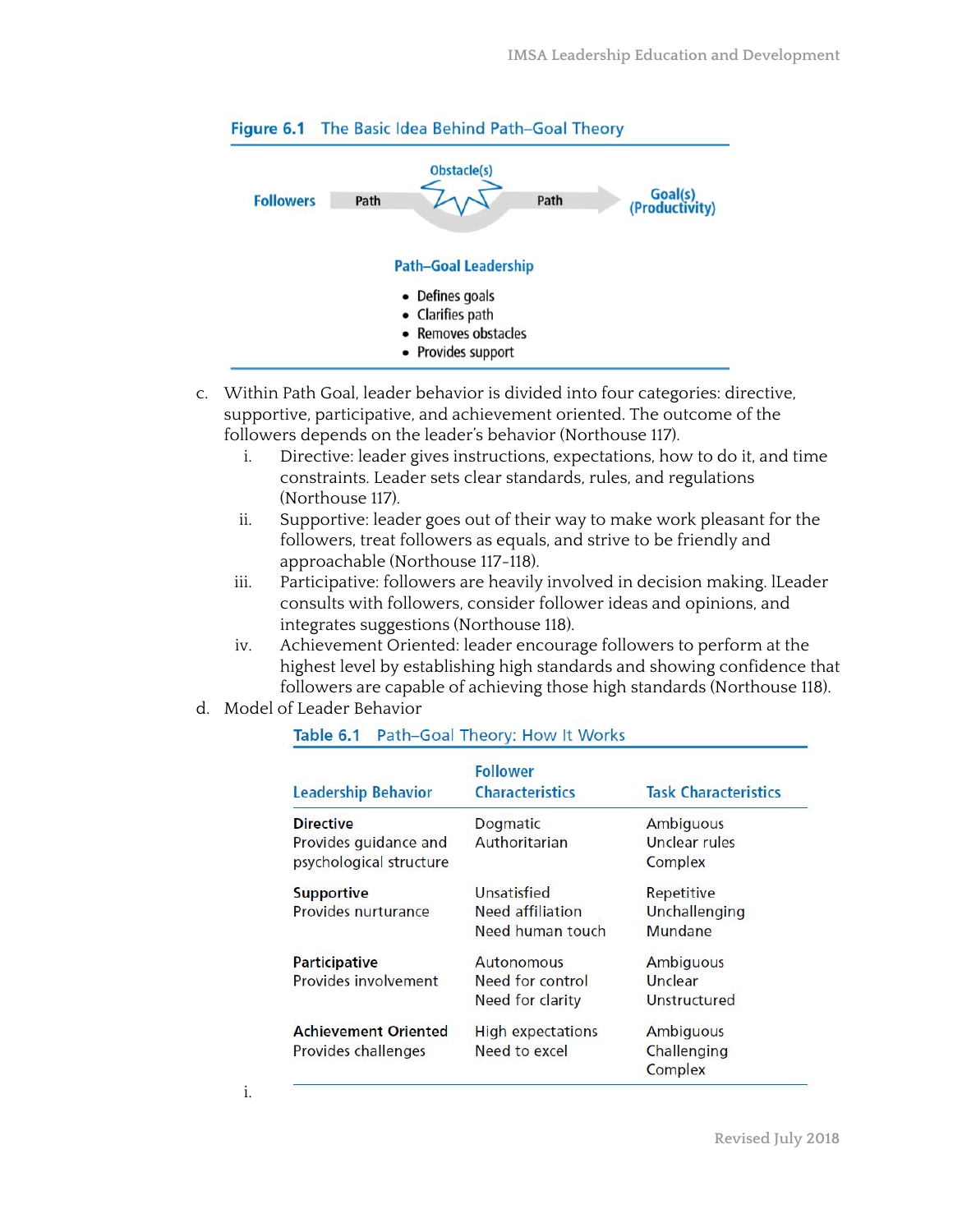

#### Figure 6.1 The Basic Idea Behind Path-Goal Theory

- c. Within Path Goal, leader behavior is divided into four categories: directive, supportive, participative, and achievement oriented. The outcome of the followers depends on the leader's behavior (Northouse 117).
	- i. Directive: leader gives instructions, expectations, how to do it, and time constraints. Leader sets clear standards, rules, and regulations (Northouse 117).
	- ii. Supportive: leader goes out of their way to make work pleasant for the followers, treat followers as equals, and strive to be friendly and approachable (Northouse 117-118).
	- iii. Participative: followers are heavily involved in decision making. lLeader consults with followers, consider follower ideas and opinions, and integrates suggestions (Northouse 118).
	- iv. Achievement Oriented: leader encourage followers to perform at the highest level by establishing high standards and showing confidence that followers are capable of achieving those high standards (Northouse 118).
- d. Model of Leader Behavior

| <b>Leadership Behavior</b>  | <b>Follower</b><br><b>Characteristics</b> | <b>Task Characteristics</b> |
|-----------------------------|-------------------------------------------|-----------------------------|
|                             |                                           |                             |
| <b>Directive</b>            | Dogmatic                                  | <b>Ambiguous</b>            |
| Provides guidance and       | Authoritarian                             | Unclear rules               |
| psychological structure     |                                           | Complex                     |
| <b>Supportive</b>           | Unsatisfied                               | Repetitive                  |
| Provides nurturance         | Need affiliation                          | Unchallenging               |
|                             | Need human touch                          | Mundane                     |
| <b>Participative</b>        | <b>Autonomous</b>                         | <b>Ambiguous</b>            |
| <b>Provides involvement</b> | Need for control                          | Unclear                     |
|                             | Need for clarity                          | Unstructured                |
| <b>Achievement Oriented</b> | <b>High expectations</b>                  | Ambiguous                   |
| Provides challenges         | Need to excel                             | Challenging                 |
|                             |                                           | Complex                     |

#### Table 6.1 Path-Goal Theory: How It Works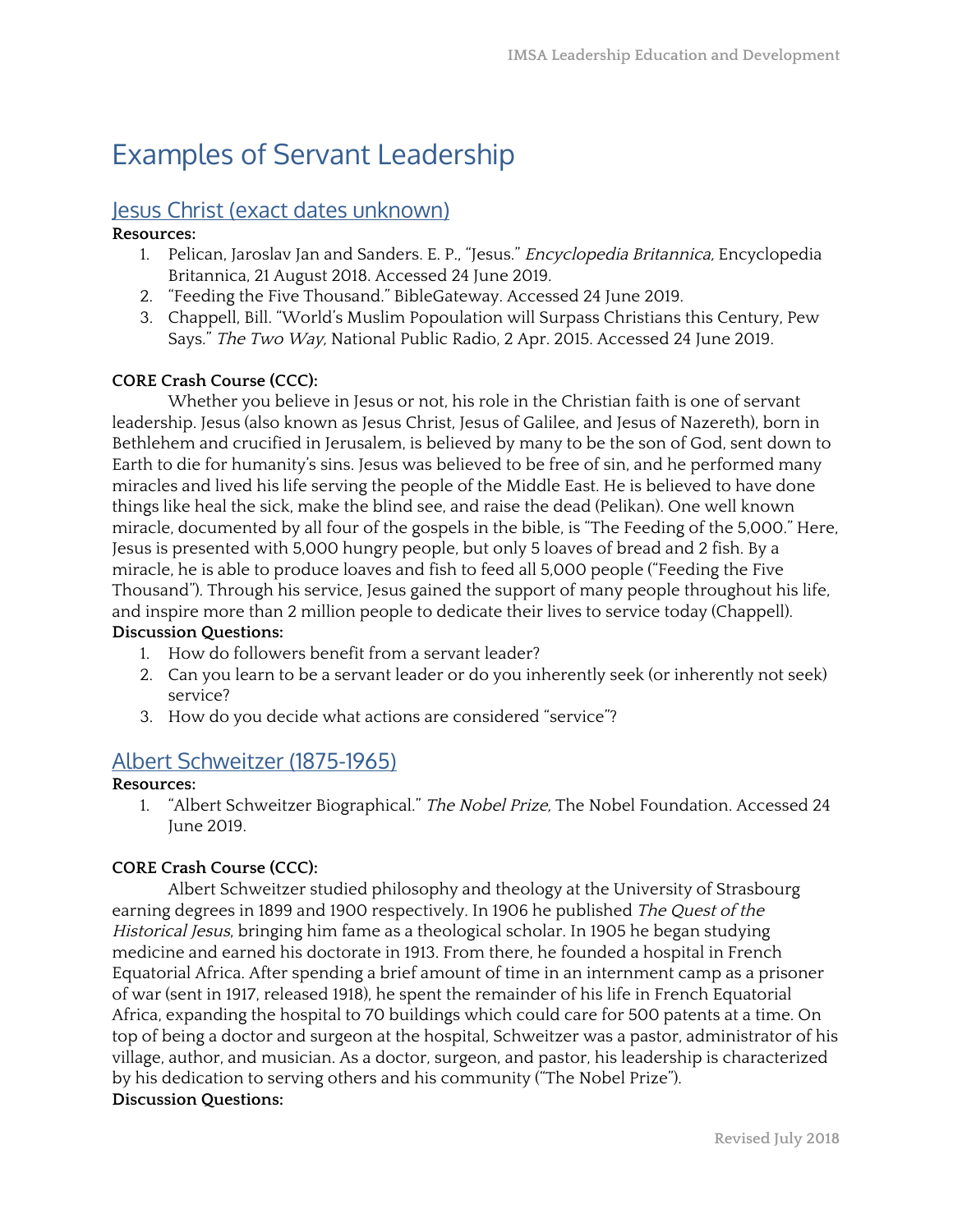# Examples of Servant Leadership

#### Jesus Christ (exact dates unknown)

#### **Resources:**

- 1. Pelican, Jaroslav Jan and Sanders. E. P., "Jesus." Encyclopedia Britannica, Encyclopedia Britannica, 21 August 2018. Accessed 24 June 2019.
- 2. "Feeding the Five Thousand." BibleGateway. Accessed 24 June 2019.
- 3. Chappell, Bill. "World's Muslim Popoulation will Surpass Christians this Century, Pew Says." The Two Way, National Public Radio, 2 Apr. 2015. Accessed 24 June 2019.

#### **CORE Crash Course (CCC):**

Whether you believe in Jesus or not, his role in the Christian faith is one of servant leadership. Jesus (also known as Jesus Christ, Jesus of Galilee, and Jesus of Nazereth), born in Bethlehem and crucified in Jerusalem, is believed by many to be the son of God, sent down to Earth to die for humanity's sins. Jesus was believed to be free of sin, and he performed many miracles and lived his life serving the people of the Middle East. He is believed to have done things like heal the sick, make the blind see, and raise the dead (Pelikan). One well known miracle, documented by all four of the gospels in the bible, is "The Feeding of the 5,000." Here, Jesus is presented with 5,000 hungry people, but only 5 loaves of bread and 2 fish. By a miracle, he is able to produce loaves and fish to feed all 5,000 people ("Feeding the Five Thousand"). Through his service, Jesus gained the support of many people throughout his life, and inspire more than 2 million people to dedicate their lives to service today (Chappell). **Discussion Questions:**

- 1. How do followers benefit from a servant leader?
- 2. Can you learn to be a servant leader or do you inherently seek (or inherently not seek) service?
- 3. How do you decide what actions are considered "service"?

#### Albert Schweitzer (1875-1965)

#### **Resources:**

1. "Albert Schweitzer Biographical." The Nobel Prize, The Nobel Foundation. Accessed 24 June 2019.

#### **CORE Crash Course (CCC):**

Albert Schweitzer studied philosophy and theology at the University of Strasbourg earning degrees in 1899 and 1900 respectively. In 1906 he published The Quest of the Historical Jesus, bringing him fame as a theological scholar. In 1905 he began studying medicine and earned his doctorate in 1913. From there, he founded a hospital in French Equatorial Africa. After spending a brief amount of time in an internment camp as a prisoner of war (sent in 1917, released 1918), he spent the remainder of his life in French Equatorial Africa, expanding the hospital to 70 buildings which could care for 500 patents at a time. On top of being a doctor and surgeon at the hospital, Schweitzer was a pastor, administrator of his village, author, and musician. As a doctor, surgeon, and pastor, his leadership is characterized by his dedication to serving others and his community ("The Nobel Prize"). **Discussion Questions:**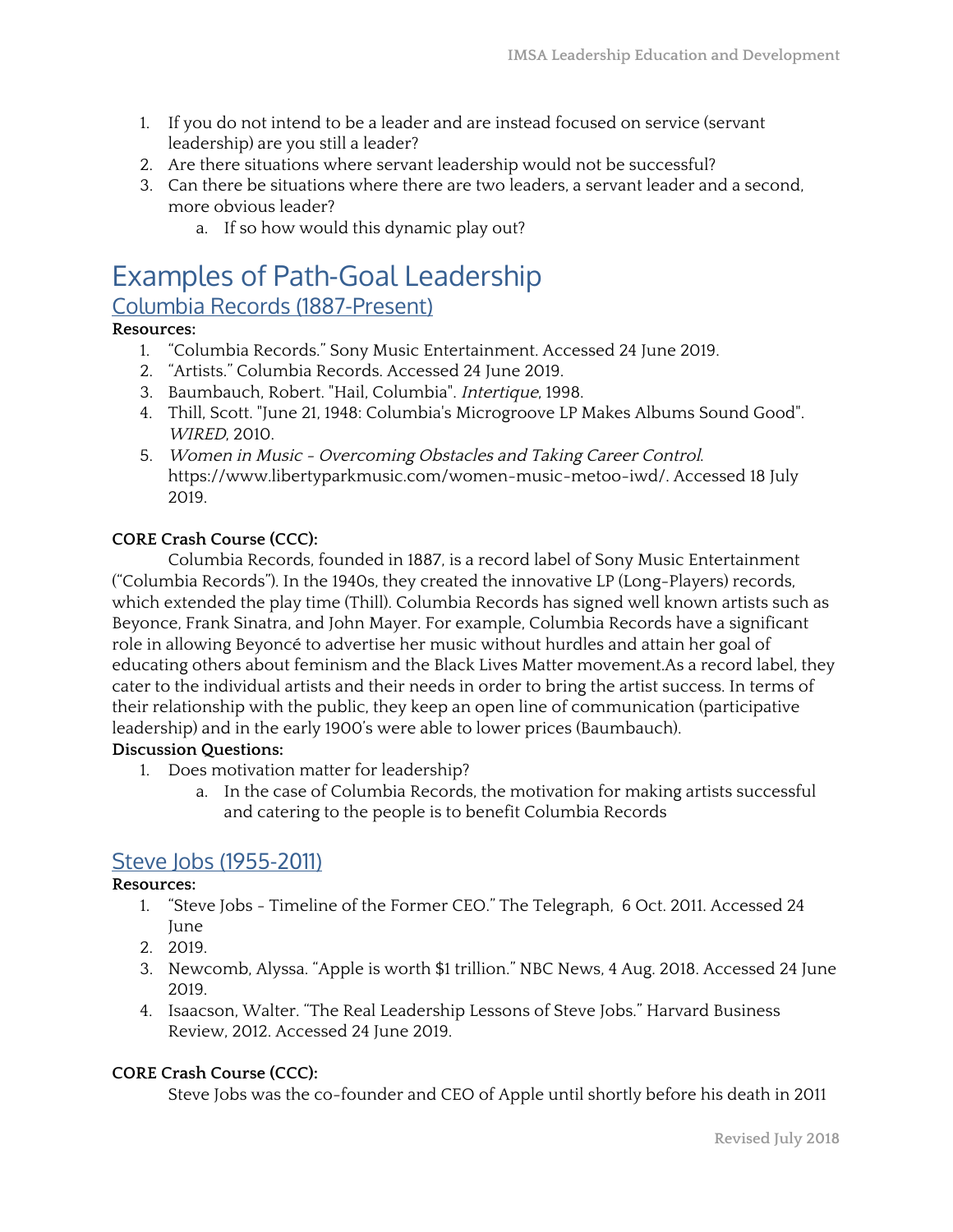- 1. If you do not intend to be a leader and are instead focused on service (servant leadership) are you still a leader?
- 2. Are there situations where servant leadership would not be successful?
- 3. Can there be situations where there are two leaders, a servant leader and a second, more obvious leader?
	- a. If so how would this dynamic play out?

# Examples of Path-Goal Leadership

#### Columbia Records (1887-Present)

#### **Resources:**

- 1. "Columbia Records." Sony Music Entertainment. Accessed 24 June 2019.
- 2. "Artists." Columbia Records. Accessed 24 June 2019.
- 3. Baumbauch, Robert. "Hail, Columbia". Intertique, 1998.
- 4. Thill, Scott. "June 21, 1948: Columbia's Microgroove LP Makes Albums Sound Good". WIRED, 2010.
- 5. Women in Music Overcoming Obstacles and Taking Career Control. https://www.libertyparkmusic.com/women-music-metoo-iwd/. Accessed 18 July 2019.

#### **CORE Crash Course (CCC):**

Columbia Records, founded in 1887, is a record label of Sony Music Entertainment ("Columbia Records"). In the 1940s, they created the innovative LP (Long-Players) records, which extended the play time (Thill). Columbia Records has signed well known artists such as Beyonce, Frank Sinatra, and John Mayer. For example, Columbia Records have a significant role in allowing Beyoncé to advertise her music without hurdles and attain her goal of educating others about feminism and the Black Lives Matter movement.As a record label, they cater to the individual artists and their needs in order to bring the artist success. In terms of their relationship with the public, they keep an open line of communication (participative leadership) and in the early 1900's were able to lower prices (Baumbauch).

#### **Discussion Questions:**

- 1. Does motivation matter for leadership?
	- a. In the case of Columbia Records, the motivation for making artists successful and catering to the people is to benefit Columbia Records

#### Steve Jobs (1955-2011)

#### **Resources:**

- 1. "Steve Jobs Timeline of the Former CEO." The Telegraph, 6 Oct. 2011. Accessed 24 June
- 2. 2019.
- 3. Newcomb, Alyssa. "Apple is worth \$1 trillion." NBC News, 4 Aug. 2018. Accessed 24 June 2019.
- 4. Isaacson, Walter. "The Real Leadership Lessons of Steve Jobs." Harvard Business Review, 2012. Accessed 24 June 2019.

#### **CORE Crash Course (CCC):**

Steve Jobs was the co-founder and CEO of Apple until shortly before his death in 2011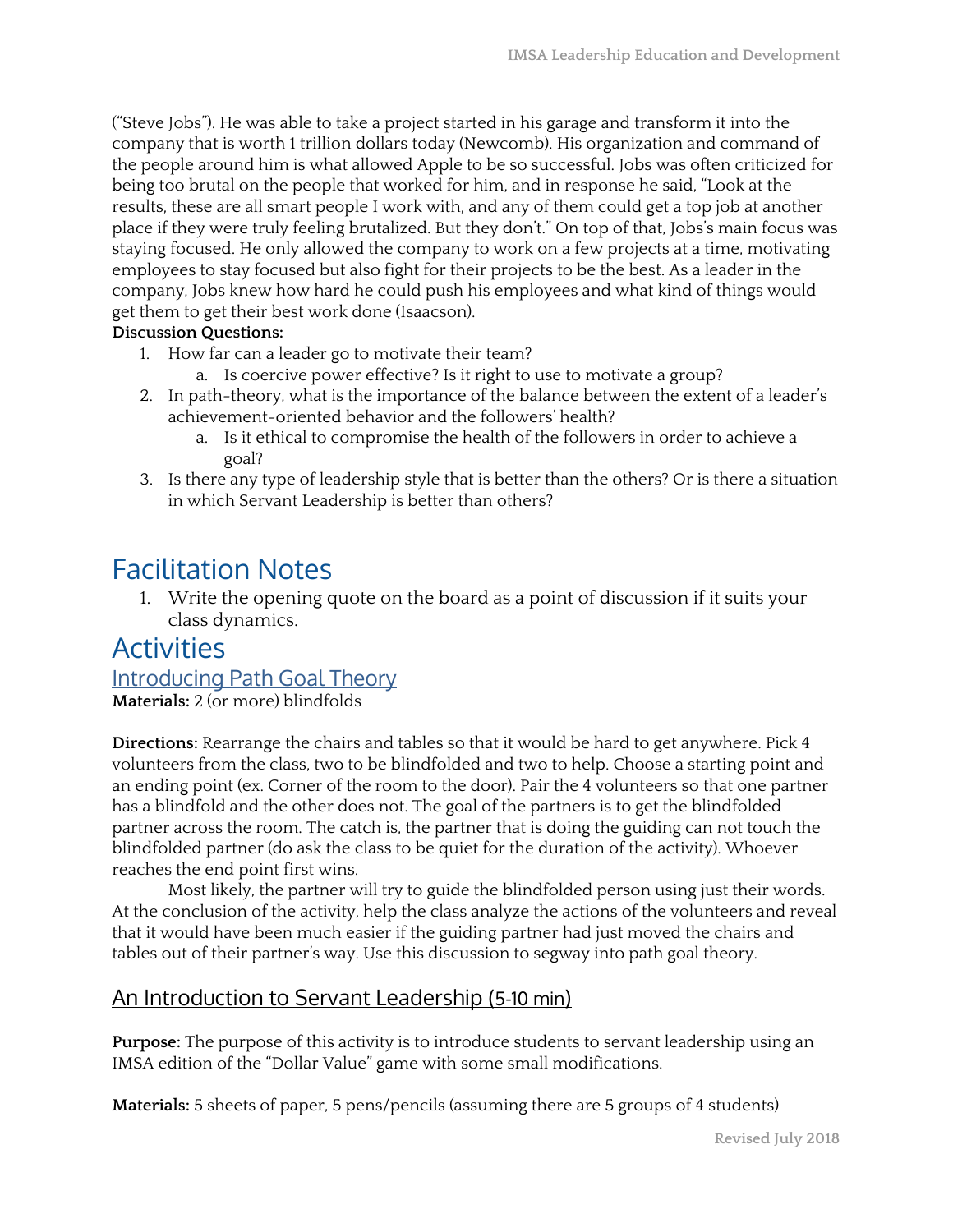("Steve Jobs"). He was able to take a project started in his garage and transform it into the company that is worth 1 trillion dollars today (Newcomb). His organization and command of the people around him is what allowed Apple to be so successful. Jobs was often criticized for being too brutal on the people that worked for him, and in response he said, "Look at the results, these are all smart people I work with, and any of them could get a top job at another place if they were truly feeling brutalized. But they don't." On top of that, Jobs's main focus was staying focused. He only allowed the company to work on a few projects at a time, motivating employees to stay focused but also fight for their projects to be the best. As a leader in the company, Jobs knew how hard he could push his employees and what kind of things would get them to get their best work done (Isaacson).

#### **Discussion Questions:**

- 1. How far can a leader go to motivate their team?
	- a. Is coercive power effective? Is it right to use to motivate a group?
- 2. In path-theory, what is the importance of the balance between the extent of a leader's achievement-oriented behavior and the followers' health?
	- a. Is it ethical to compromise the health of the followers in order to achieve a goal?
- 3. Is there any type of leadership style that is better than the others? Or is there a situation in which Servant Leadership is better than others?

# Facilitation Notes

1. Write the opening quote on the board as a point of discussion if it suits your class dynamics.

## Activities

#### Introducing Path Goal Theory

**Materials:** 2 (or more) blindfolds

**Directions:** Rearrange the chairs and tables so that it would be hard to get anywhere. Pick 4 volunteers from the class, two to be blindfolded and two to help. Choose a starting point and an ending point (ex. Corner of the room to the door). Pair the 4 volunteers so that one partner has a blindfold and the other does not. The goal of the partners is to get the blindfolded partner across the room. The catch is, the partner that is doing the guiding can not touch the blindfolded partner (do ask the class to be quiet for the duration of the activity). Whoever reaches the end point first wins.

Most likely, the partner will try to guide the blindfolded person using just their words. At the conclusion of the activity, help the class analyze the actions of the volunteers and reveal that it would have been much easier if the guiding partner had just moved the chairs and tables out of their partner's way. Use this discussion to segway into path goal theory.

### An Introduction to Servant Leadership (5-10 min)

**Purpose:** The purpose of this activity is to introduce students to servant leadership using an IMSA edition of the "Dollar Value" game with some small modifications.

**Materials:** 5 sheets of paper, 5 pens/pencils (assuming there are 5 groups of 4 students)